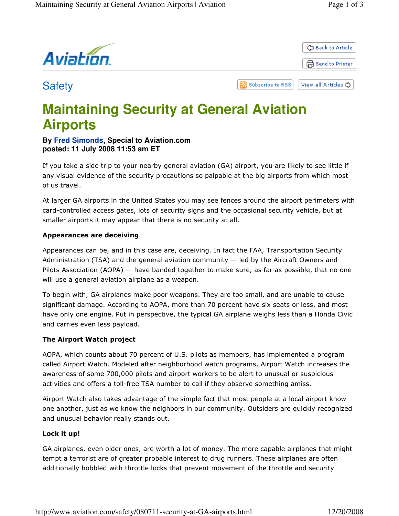

# **Maintaining Security at General Aviation Airports**

# **By Fred Simonds, Special to Aviation.com posted: 11 July 2008 11:53 am ET**

If you take a side trip to your nearby general aviation (GA) airport, you are likely to see little if any visual evidence of the security precautions so palpable at the big airports from which most of us travel.

At larger GA airports in the United States you may see fences around the airport perimeters with card-controlled access gates, lots of security signs and the occasional security vehicle, but at smaller airports it may appear that there is no security at all.

# Appearances are deceiving

Appearances can be, and in this case are, deceiving. In fact the FAA, Transportation Security Administration (TSA) and the general aviation community — led by the Aircraft Owners and Pilots Association (AOPA) — have banded together to make sure, as far as possible, that no one will use a general aviation airplane as a weapon.

To begin with, GA airplanes make poor weapons. They are too small, and are unable to cause significant damage. According to AOPA, more than 70 percent have six seats or less, and most have only one engine. Put in perspective, the typical GA airplane weighs less than a Honda Civic and carries even less payload.

### The Airport Watch project

AOPA, which counts about 70 percent of U.S. pilots as members, has implemented a program called Airport Watch. Modeled after neighborhood watch programs, Airport Watch increases the awareness of some 700,000 pilots and airport workers to be alert to unusual or suspicious activities and offers a toll-free TSA number to call if they observe something amiss.

Airport Watch also takes advantage of the simple fact that most people at a local airport know one another, just as we know the neighbors in our community. Outsiders are quickly recognized and unusual behavior really stands out.

### Lock it up!

GA airplanes, even older ones, are worth a lot of money. The more capable airplanes that might tempt a terrorist are of greater probable interest to drug runners. These airplanes are often additionally hobbled with throttle locks that prevent movement of the throttle and security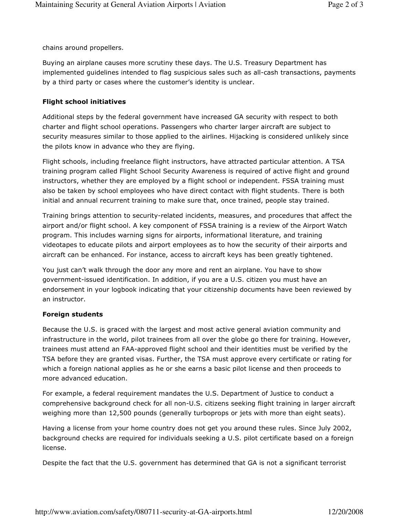chains around propellers.

Buying an airplane causes more scrutiny these days. The U.S. Treasury Department has implemented guidelines intended to flag suspicious sales such as all-cash transactions, payments by a third party or cases where the customer's identity is unclear.

### Flight school initiatives

Additional steps by the federal government have increased GA security with respect to both charter and flight school operations. Passengers who charter larger aircraft are subject to security measures similar to those applied to the airlines. Hijacking is considered unlikely since the pilots know in advance who they are flying.

Flight schools, including freelance flight instructors, have attracted particular attention. A TSA training program called Flight School Security Awareness is required of active flight and ground instructors, whether they are employed by a flight school or independent. FSSA training must also be taken by school employees who have direct contact with flight students. There is both initial and annual recurrent training to make sure that, once trained, people stay trained.

Training brings attention to security-related incidents, measures, and procedures that affect the airport and/or flight school. A key component of FSSA training is a review of the Airport Watch program. This includes warning signs for airports, informational literature, and training videotapes to educate pilots and airport employees as to how the security of their airports and aircraft can be enhanced. For instance, access to aircraft keys has been greatly tightened.

You just can't walk through the door any more and rent an airplane. You have to show government-issued identification. In addition, if you are a U.S. citizen you must have an endorsement in your logbook indicating that your citizenship documents have been reviewed by an instructor.

### Foreign students

Because the U.S. is graced with the largest and most active general aviation community and infrastructure in the world, pilot trainees from all over the globe go there for training. However, trainees must attend an FAA-approved flight school and their identities must be verified by the TSA before they are granted visas. Further, the TSA must approve every certificate or rating for which a foreign national applies as he or she earns a basic pilot license and then proceeds to more advanced education.

For example, a federal requirement mandates the U.S. Department of Justice to conduct a comprehensive background check for all non-U.S. citizens seeking flight training in larger aircraft weighing more than 12,500 pounds (generally turboprops or jets with more than eight seats).

Having a license from your home country does not get you around these rules. Since July 2002, background checks are required for individuals seeking a U.S. pilot certificate based on a foreign license.

Despite the fact that the U.S. government has determined that GA is not a significant terrorist